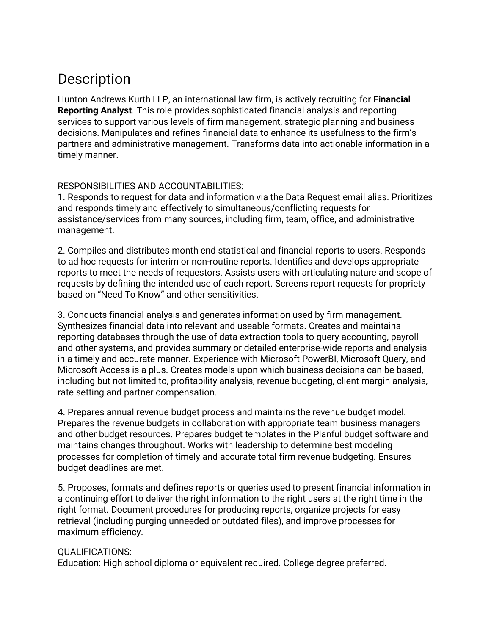## **Description**

Hunton Andrews Kurth LLP, an international law firm, is actively recruiting for **Financial Reporting Analyst**. This role provides sophisticated financial analysis and reporting services to support various levels of firm management, strategic planning and business decisions. Manipulates and refines financial data to enhance its usefulness to the firm's partners and administrative management. Transforms data into actionable information in a timely manner.

## RESPONSIBILITIES AND ACCOUNTABILITIES:

1. Responds to request for data and information via the Data Request email alias. Prioritizes and responds timely and effectively to simultaneous/conflicting requests for assistance/services from many sources, including firm, team, office, and administrative management.

2. Compiles and distributes month end statistical and financial reports to users. Responds to ad hoc requests for interim or non-routine reports. Identifies and develops appropriate reports to meet the needs of requestors. Assists users with articulating nature and scope of requests by defining the intended use of each report. Screens report requests for propriety based on "Need To Know" and other sensitivities.

3. Conducts financial analysis and generates information used by firm management. Synthesizes financial data into relevant and useable formats. Creates and maintains reporting databases through the use of data extraction tools to query accounting, payroll and other systems, and provides summary or detailed enterprise-wide reports and analysis in a timely and accurate manner. Experience with Microsoft PowerBI, Microsoft Query, and Microsoft Access is a plus. Creates models upon which business decisions can be based, including but not limited to, profitability analysis, revenue budgeting, client margin analysis, rate setting and partner compensation.

4. Prepares annual revenue budget process and maintains the revenue budget model. Prepares the revenue budgets in collaboration with appropriate team business managers and other budget resources. Prepares budget templates in the Planful budget software and maintains changes throughout. Works with leadership to determine best modeling processes for completion of timely and accurate total firm revenue budgeting. Ensures budget deadlines are met.

5. Proposes, formats and defines reports or queries used to present financial information in a continuing effort to deliver the right information to the right users at the right time in the right format. Document procedures for producing reports, organize projects for easy retrieval (including purging unneeded or outdated files), and improve processes for maximum efficiency.

## QUALIFICATIONS:

Education: High school diploma or equivalent required. College degree preferred.